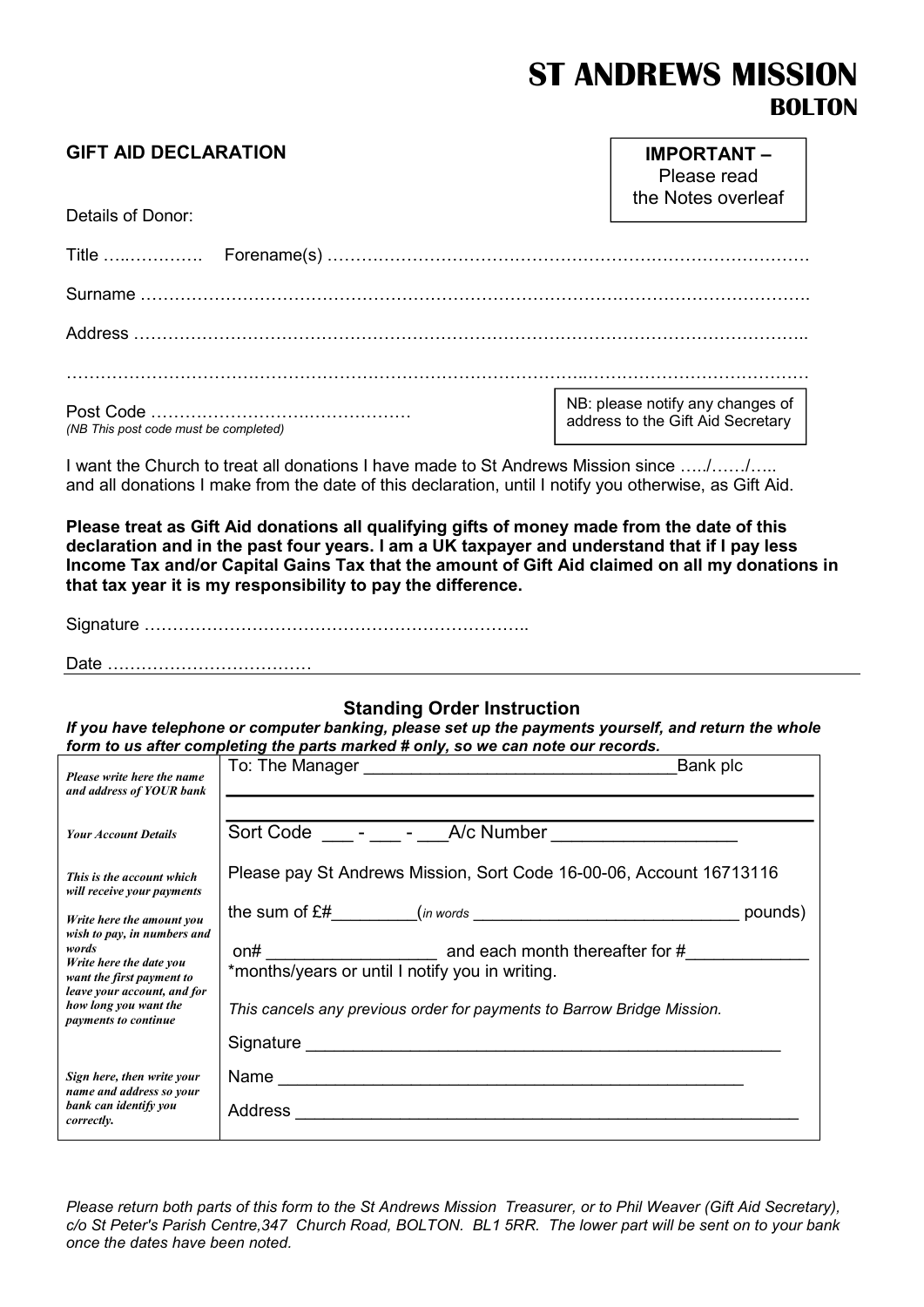# ST ANDREWS MISSION BOLTON

IMPORTANT –

### GIFT AID DECLARATION

| Details of Donor:                     | Please read<br>the Notes overleaf                                     |
|---------------------------------------|-----------------------------------------------------------------------|
|                                       |                                                                       |
|                                       |                                                                       |
|                                       |                                                                       |
|                                       |                                                                       |
|                                       |                                                                       |
| (NB This post code must be completed) | NB: please notify any changes of<br>address to the Gift Aid Secretary |

I want the Church to treat all donations I have made to St Andrews Mission since …../……/….. and all donations I make from the date of this declaration, until I notify you otherwise, as Gift Aid.

Please treat as Gift Aid donations all qualifying gifts of money made from the date of this declaration and in the past four years. I am a UK taxpayer and understand that if I pay less Income Tax and/or Capital Gains Tax that the amount of Gift Aid claimed on all my donations in that tax year it is my responsibility to pay the difference.

Signature …………………………………………………………..

Date ………………………………

#### Standing Order Instruction

If you have telephone or computer banking, please set up the payments yourself, and return the whole form to us after completing the parts marked # only, so we can note our records.

| Please write here the name<br>and address of YOUR bank                                                                      | Bank plc                                                               |
|-----------------------------------------------------------------------------------------------------------------------------|------------------------------------------------------------------------|
| <b>Your Account Details</b>                                                                                                 | Sort Code - - - A/c Number __________________                          |
| This is the account which<br>will receive your payments                                                                     | Please pay St Andrews Mission, Sort Code 16-00-06, Account 16713116    |
| Write here the amount you                                                                                                   | pounds)                                                                |
| wish to pay, in numbers and<br>words<br>Write here the date you<br>want the first payment to<br>leave your account, and for | *months/years or until I notify you in writing.                        |
| how long you want the<br>payments to continue                                                                               | This cancels any previous order for payments to Barrow Bridge Mission. |
|                                                                                                                             |                                                                        |
| Sign here, then write your<br>name and address so your                                                                      |                                                                        |
| bank can identify you<br>correctly.                                                                                         |                                                                        |

Please return both parts of this form to the St Andrews Mission Treasurer, or to Phil Weaver (Gift Aid Secretary), c/o St Peter's Parish Centre,347 Church Road, BOLTON. BL1 5RR. The lower part will be sent on to your bank once the dates have been noted.